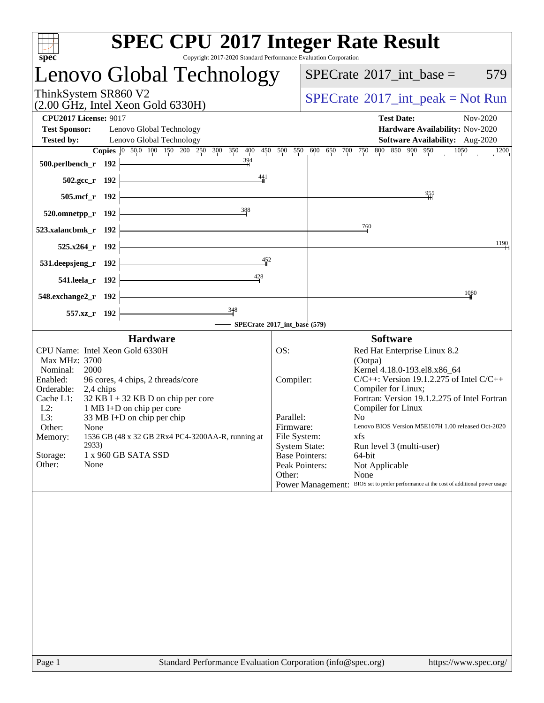| <b>SPEC CPU®2017 Integer Rate Result</b><br>Copyright 2017-2020 Standard Performance Evaluation Corporation<br>spec <sup>®</sup>                                                                                                                                                                                                                                                                                                  |                                                                                                                                         |                                                                                                                                                                                                                                                                                                                                                                                                                                                    |  |  |  |  |  |  |
|-----------------------------------------------------------------------------------------------------------------------------------------------------------------------------------------------------------------------------------------------------------------------------------------------------------------------------------------------------------------------------------------------------------------------------------|-----------------------------------------------------------------------------------------------------------------------------------------|----------------------------------------------------------------------------------------------------------------------------------------------------------------------------------------------------------------------------------------------------------------------------------------------------------------------------------------------------------------------------------------------------------------------------------------------------|--|--|--|--|--|--|
| Lenovo Global Technology                                                                                                                                                                                                                                                                                                                                                                                                          |                                                                                                                                         | $SPECrate^{\circledast}2017\_int\_base =$<br>579                                                                                                                                                                                                                                                                                                                                                                                                   |  |  |  |  |  |  |
| ThinkSystem SR860 V2<br>$(2.00 \text{ GHz}, \text{Intel Xeon Gold } 6330\text{H})$                                                                                                                                                                                                                                                                                                                                                |                                                                                                                                         | $SPECrate^{\circledast}2017\_int\_peak = Not Run$                                                                                                                                                                                                                                                                                                                                                                                                  |  |  |  |  |  |  |
| <b>CPU2017 License: 9017</b><br><b>Test Sponsor:</b><br>Lenovo Global Technology<br><b>Tested by:</b><br>Lenovo Global Technology                                                                                                                                                                                                                                                                                                 |                                                                                                                                         | <b>Test Date:</b><br>Nov-2020<br>Hardware Availability: Nov-2020<br>Software Availability: Aug-2020                                                                                                                                                                                                                                                                                                                                                |  |  |  |  |  |  |
| Copies 0 50.0 100 150 200 250 300 350 400<br>$\frac{394}{4}$<br>500.perlbench_r 192                                                                                                                                                                                                                                                                                                                                               |                                                                                                                                         | 450 500 550 600 650 700 750 800 850 900 950<br>1050<br>1200                                                                                                                                                                                                                                                                                                                                                                                        |  |  |  |  |  |  |
| 441<br>502.gcc_r 192<br>505.mcf_r 192                                                                                                                                                                                                                                                                                                                                                                                             |                                                                                                                                         | 955                                                                                                                                                                                                                                                                                                                                                                                                                                                |  |  |  |  |  |  |
| 388<br>520.omnetpp_r 192                                                                                                                                                                                                                                                                                                                                                                                                          |                                                                                                                                         |                                                                                                                                                                                                                                                                                                                                                                                                                                                    |  |  |  |  |  |  |
| 523.xalancbmk_r 192                                                                                                                                                                                                                                                                                                                                                                                                               |                                                                                                                                         | 760                                                                                                                                                                                                                                                                                                                                                                                                                                                |  |  |  |  |  |  |
| 525.x264_r 192                                                                                                                                                                                                                                                                                                                                                                                                                    |                                                                                                                                         | 1190                                                                                                                                                                                                                                                                                                                                                                                                                                               |  |  |  |  |  |  |
| 452<br>531.deepsjeng_r 192<br>428                                                                                                                                                                                                                                                                                                                                                                                                 |                                                                                                                                         |                                                                                                                                                                                                                                                                                                                                                                                                                                                    |  |  |  |  |  |  |
| 541.leela_r 192<br>548.exchange2_r 192                                                                                                                                                                                                                                                                                                                                                                                            |                                                                                                                                         | 1080                                                                                                                                                                                                                                                                                                                                                                                                                                               |  |  |  |  |  |  |
| $\frac{348}{ }$<br>557.xz_r 192                                                                                                                                                                                                                                                                                                                                                                                                   |                                                                                                                                         |                                                                                                                                                                                                                                                                                                                                                                                                                                                    |  |  |  |  |  |  |
| - SPECrate®2017_int_base (579)<br><b>Hardware</b>                                                                                                                                                                                                                                                                                                                                                                                 |                                                                                                                                         | <b>Software</b>                                                                                                                                                                                                                                                                                                                                                                                                                                    |  |  |  |  |  |  |
| CPU Name: Intel Xeon Gold 6330H<br>Max MHz: 3700<br>Nominal:<br>2000<br>Enabled:<br>96 cores, 4 chips, 2 threads/core<br>Orderable:<br>2,4 chips<br>Cache L1:<br>$32$ KB I + 32 KB D on chip per core<br>$L2$ :<br>1 MB I+D on chip per core<br>33 MB I+D on chip per chip<br>L3:<br>Other:<br>None<br>1536 GB (48 x 32 GB 2Rx4 PC4-3200AA-R, running at<br>Memory:<br>2933)<br>Storage:<br>1 x 960 GB SATA SSD<br>Other:<br>None | OS:<br>Compiler:<br>Parallel:<br>Firmware:<br>File System:<br><b>System State:</b><br><b>Base Pointers:</b><br>Peak Pointers:<br>Other: | Red Hat Enterprise Linux 8.2<br>(Ootpa)<br>Kernel 4.18.0-193.el8.x86_64<br>$C/C++$ : Version 19.1.2.275 of Intel $C/C++$<br>Compiler for Linux;<br>Fortran: Version 19.1.2.275 of Intel Fortran<br>Compiler for Linux<br>No<br>Lenovo BIOS Version M5E107H 1.00 released Oct-2020<br>xfs<br>Run level 3 (multi-user)<br>64-bit<br>Not Applicable<br>None<br>Power Management: BIOS set to prefer performance at the cost of additional power usage |  |  |  |  |  |  |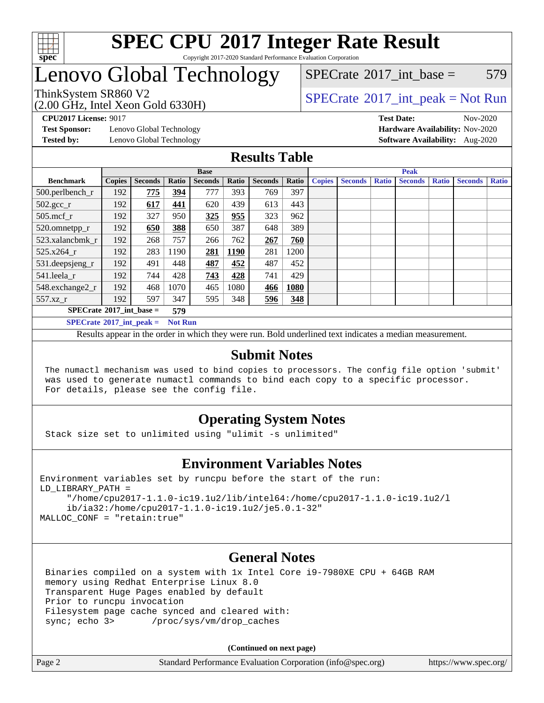

### **[SPEC CPU](http://www.spec.org/auto/cpu2017/Docs/result-fields.html#SPECCPU2017IntegerRateResult)[2017 Integer Rate Result](http://www.spec.org/auto/cpu2017/Docs/result-fields.html#SPECCPU2017IntegerRateResult)** Copyright 2017-2020 Standard Performance Evaluation Corporation

### Lenovo Global Technology

 $SPECTate@2017$  int base = 579

(2.00 GHz, Intel Xeon Gold 6330H)

ThinkSystem SR860 V2<br>  $\begin{array}{c} \text{SPECrate} \textcirc 2017\_int\_peak = Not Run \end{array}$  $\begin{array}{c} \text{SPECrate} \textcirc 2017\_int\_peak = Not Run \end{array}$  $\begin{array}{c} \text{SPECrate} \textcirc 2017\_int\_peak = Not Run \end{array}$ 

**[Test Sponsor:](http://www.spec.org/auto/cpu2017/Docs/result-fields.html#TestSponsor)** Lenovo Global Technology **[Hardware Availability:](http://www.spec.org/auto/cpu2017/Docs/result-fields.html#HardwareAvailability)** Nov-2020

**[CPU2017 License:](http://www.spec.org/auto/cpu2017/Docs/result-fields.html#CPU2017License)** 9017 **[Test Date:](http://www.spec.org/auto/cpu2017/Docs/result-fields.html#TestDate)** Nov-2020 **[Tested by:](http://www.spec.org/auto/cpu2017/Docs/result-fields.html#Testedby)** Lenovo Global Technology **[Software Availability:](http://www.spec.org/auto/cpu2017/Docs/result-fields.html#SoftwareAvailability)** Aug-2020

### **[Results Table](http://www.spec.org/auto/cpu2017/Docs/result-fields.html#ResultsTable)**

|                                     | <b>Base</b>   |                |                |                | <b>Peak</b> |                |       |               |                |              |                |              |                |              |
|-------------------------------------|---------------|----------------|----------------|----------------|-------------|----------------|-------|---------------|----------------|--------------|----------------|--------------|----------------|--------------|
| <b>Benchmark</b>                    | <b>Copies</b> | <b>Seconds</b> | Ratio          | <b>Seconds</b> | Ratio       | <b>Seconds</b> | Ratio | <b>Copies</b> | <b>Seconds</b> | <b>Ratio</b> | <b>Seconds</b> | <b>Ratio</b> | <b>Seconds</b> | <b>Ratio</b> |
| 500.perlbench_r                     | 192           | 775            | 394            | 777            | 393         | 769            | 397   |               |                |              |                |              |                |              |
| $502.\text{gcc\_r}$                 | 192           | 617            | 441            | 620            | 439         | 613            | 443   |               |                |              |                |              |                |              |
| $505$ .mcf r                        | 192           | 327            | 950            | 325            | 955         | 323            | 962   |               |                |              |                |              |                |              |
| 520.omnetpp_r                       | 192           | 650            | 388            | 650            | 387         | 648            | 389   |               |                |              |                |              |                |              |
| 523.xalancbmk r                     | 192           | 268            | 757            | 266            | 762         | 267            | 760   |               |                |              |                |              |                |              |
| 525.x264 r                          | 192           | 283            | 1190           | 281            | 1190        | 281            | 1200  |               |                |              |                |              |                |              |
| 531.deepsjeng_r                     | 192           | 491            | 448            | 487            | 452         | 487            | 452   |               |                |              |                |              |                |              |
| 541.leela r                         | 192           | 744            | 428            | 743            | 428         | 741            | 429   |               |                |              |                |              |                |              |
| 548.exchange2_r                     | 192           | 468            | 1070           | 465            | 1080        | 466            | 1080  |               |                |              |                |              |                |              |
| 557.xz r                            | 192           | 597            | 347            | 595            | 348         | 596            | 348   |               |                |              |                |              |                |              |
| $SPECrate^{\circ}2017$ int base =   |               |                | 579            |                |             |                |       |               |                |              |                |              |                |              |
| $SPECrate^{\circ}2017\_int\_peak =$ |               |                | <b>Not Run</b> |                |             |                |       |               |                |              |                |              |                |              |

Results appear in the [order in which they were run](http://www.spec.org/auto/cpu2017/Docs/result-fields.html#RunOrder). Bold underlined text [indicates a median measurement](http://www.spec.org/auto/cpu2017/Docs/result-fields.html#Median).

### **[Submit Notes](http://www.spec.org/auto/cpu2017/Docs/result-fields.html#SubmitNotes)**

 The numactl mechanism was used to bind copies to processors. The config file option 'submit' was used to generate numactl commands to bind each copy to a specific processor. For details, please see the config file.

### **[Operating System Notes](http://www.spec.org/auto/cpu2017/Docs/result-fields.html#OperatingSystemNotes)**

Stack size set to unlimited using "ulimit -s unlimited"

### **[Environment Variables Notes](http://www.spec.org/auto/cpu2017/Docs/result-fields.html#EnvironmentVariablesNotes)**

```
Environment variables set by runcpu before the start of the run:
LD_LIBRARY_PATH =
      "/home/cpu2017-1.1.0-ic19.1u2/lib/intel64:/home/cpu2017-1.1.0-ic19.1u2/l
      ib/ia32:/home/cpu2017-1.1.0-ic19.1u2/je5.0.1-32"
MALLOC_CONF = "retain:true"
```
### **[General Notes](http://www.spec.org/auto/cpu2017/Docs/result-fields.html#GeneralNotes)**

 Binaries compiled on a system with 1x Intel Core i9-7980XE CPU + 64GB RAM memory using Redhat Enterprise Linux 8.0 Transparent Huge Pages enabled by default Prior to runcpu invocation Filesystem page cache synced and cleared with: sync; echo 3> /proc/sys/vm/drop\_caches

**(Continued on next page)**

| Page 2 | Standard Performance Evaluation Corporation (info@spec.org) | https://www.spec.org/ |
|--------|-------------------------------------------------------------|-----------------------|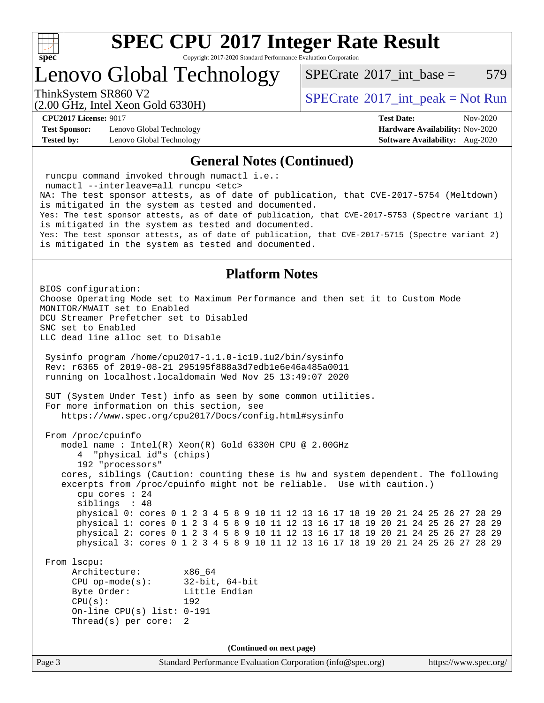

Copyright 2017-2020 Standard Performance Evaluation Corporation

Lenovo Global Technology

 $SPECTate@2017$  int base = 579

(2.00 GHz, Intel Xeon Gold 6330H)

ThinkSystem SR860 V2<br>  $\begin{array}{c} \text{SPECrate} \textcirc 2017\_int\_peak = Not Run \end{array}$  $\begin{array}{c} \text{SPECrate} \textcirc 2017\_int\_peak = Not Run \end{array}$  $\begin{array}{c} \text{SPECrate} \textcirc 2017\_int\_peak = Not Run \end{array}$ 

**[Test Sponsor:](http://www.spec.org/auto/cpu2017/Docs/result-fields.html#TestSponsor)** Lenovo Global Technology **[Hardware Availability:](http://www.spec.org/auto/cpu2017/Docs/result-fields.html#HardwareAvailability)** Nov-2020 **[Tested by:](http://www.spec.org/auto/cpu2017/Docs/result-fields.html#Testedby)** Lenovo Global Technology **[Software Availability:](http://www.spec.org/auto/cpu2017/Docs/result-fields.html#SoftwareAvailability)** Aug-2020

**[CPU2017 License:](http://www.spec.org/auto/cpu2017/Docs/result-fields.html#CPU2017License)** 9017 **[Test Date:](http://www.spec.org/auto/cpu2017/Docs/result-fields.html#TestDate)** Nov-2020

#### **[General Notes \(Continued\)](http://www.spec.org/auto/cpu2017/Docs/result-fields.html#GeneralNotes)**

Page 3 Standard Performance Evaluation Corporation [\(info@spec.org\)](mailto:info@spec.org) <https://www.spec.org/> runcpu command invoked through numactl i.e.: numactl --interleave=all runcpu <etc> NA: The test sponsor attests, as of date of publication, that CVE-2017-5754 (Meltdown) is mitigated in the system as tested and documented. Yes: The test sponsor attests, as of date of publication, that CVE-2017-5753 (Spectre variant 1) is mitigated in the system as tested and documented. Yes: The test sponsor attests, as of date of publication, that CVE-2017-5715 (Spectre variant 2) is mitigated in the system as tested and documented. **[Platform Notes](http://www.spec.org/auto/cpu2017/Docs/result-fields.html#PlatformNotes)** BIOS configuration: Choose Operating Mode set to Maximum Performance and then set it to Custom Mode MONITOR/MWAIT set to Enabled DCU Streamer Prefetcher set to Disabled SNC set to Enabled LLC dead line alloc set to Disable Sysinfo program /home/cpu2017-1.1.0-ic19.1u2/bin/sysinfo Rev: r6365 of 2019-08-21 295195f888a3d7edb1e6e46a485a0011 running on localhost.localdomain Wed Nov 25 13:49:07 2020 SUT (System Under Test) info as seen by some common utilities. For more information on this section, see <https://www.spec.org/cpu2017/Docs/config.html#sysinfo> From /proc/cpuinfo model name : Intel(R) Xeon(R) Gold 6330H CPU @ 2.00GHz 4 "physical id"s (chips) 192 "processors" cores, siblings (Caution: counting these is hw and system dependent. The following excerpts from /proc/cpuinfo might not be reliable. Use with caution.) cpu cores : 24 siblings : 48 physical 0: cores 0 1 2 3 4 5 8 9 10 11 12 13 16 17 18 19 20 21 24 25 26 27 28 29 physical 1: cores 0 1 2 3 4 5 8 9 10 11 12 13 16 17 18 19 20 21 24 25 26 27 28 29 physical 2: cores 0 1 2 3 4 5 8 9 10 11 12 13 16 17 18 19 20 21 24 25 26 27 28 29 physical 3: cores 0 1 2 3 4 5 8 9 10 11 12 13 16 17 18 19 20 21 24 25 26 27 28 29 From lscpu: Architecture: x86\_64 CPU op-mode(s): 32-bit, 64-bit Byte Order: Little Endian CPU(s): 192 On-line CPU(s) list: 0-191 Thread(s) per core: 2 **(Continued on next page)**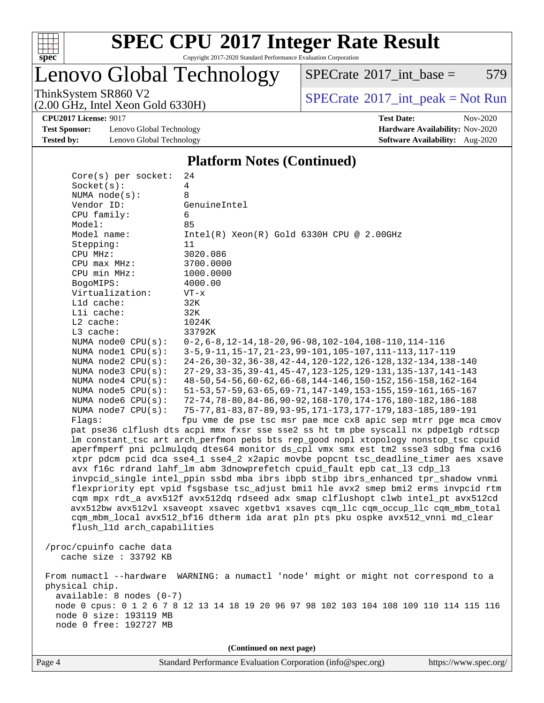

Copyright 2017-2020 Standard Performance Evaluation Corporation

Lenovo Global Technology

 $SPECTate@2017_int\_base = 579$ 

(2.00 GHz, Intel Xeon Gold 6330H)

ThinkSystem SR860 V2<br>  $(2.00 \text{ GHz. Intel } \text{Yoon Gold } 6330H)$  [SPECrate](http://www.spec.org/auto/cpu2017/Docs/result-fields.html#SPECrate2017intpeak)®[2017\\_int\\_peak = N](http://www.spec.org/auto/cpu2017/Docs/result-fields.html#SPECrate2017intpeak)ot Run

**[CPU2017 License:](http://www.spec.org/auto/cpu2017/Docs/result-fields.html#CPU2017License)** 9017 **[Test Date:](http://www.spec.org/auto/cpu2017/Docs/result-fields.html#TestDate)** Nov-2020

**[Test Sponsor:](http://www.spec.org/auto/cpu2017/Docs/result-fields.html#TestSponsor)** Lenovo Global Technology **[Hardware Availability:](http://www.spec.org/auto/cpu2017/Docs/result-fields.html#HardwareAvailability)** Nov-2020 **[Tested by:](http://www.spec.org/auto/cpu2017/Docs/result-fields.html#Testedby)** Lenovo Global Technology **[Software Availability:](http://www.spec.org/auto/cpu2017/Docs/result-fields.html#SoftwareAvailability)** Aug-2020

#### **[Platform Notes \(Continued\)](http://www.spec.org/auto/cpu2017/Docs/result-fields.html#PlatformNotes)**

| Core(s) per socket:         | 24                                                                                      |
|-----------------------------|-----------------------------------------------------------------------------------------|
| Socket(s):                  | $\overline{4}$                                                                          |
| NUMA $node(s):$             | 8                                                                                       |
| Vendor ID:                  | GenuineIntel                                                                            |
| CPU family:                 | 6                                                                                       |
| Model:                      | 85                                                                                      |
| Model name:                 | $Intel(R) Xeon(R) Gold 6330H CPU @ 2.00GHz$                                             |
| Stepping:                   | 11                                                                                      |
| CPU MHz:                    | 3020.086                                                                                |
| CPU max MHz:                | 3700.0000                                                                               |
| CPU min MHz:                | 1000.0000                                                                               |
| BogoMIPS:                   | 4000.00                                                                                 |
| Virtualization:             | $VT - x$                                                                                |
| L1d cache:                  | 32K                                                                                     |
| Lli cache:                  | 32K                                                                                     |
| $L2$ cache:                 | 1024K                                                                                   |
| L3 cache:                   | 33792K                                                                                  |
| NUMA node0 CPU(s):          | $0-2, 6-8, 12-14, 18-20, 96-98, 102-104, 108-110, 114-116$                              |
| NUMA nodel CPU(s):          | 3-5, 9-11, 15-17, 21-23, 99-101, 105-107, 111-113, 117-119                              |
| NUMA node2 CPU(s):          | 24-26, 30-32, 36-38, 42-44, 120-122, 126-128, 132-134, 138-140                          |
| NUMA $node3$ $CPU(s)$ :     | 27-29, 33-35, 39-41, 45-47, 123-125, 129-131, 135-137, 141-143                          |
| NUMA node4 CPU(s):          | 48-50, 54-56, 60-62, 66-68, 144-146, 150-152, 156-158, 162-164                          |
| NUMA $node5$ $CPU(s):$      | 51-53, 57-59, 63-65, 69-71, 147-149, 153-155, 159-161, 165-167                          |
| NUMA node6 CPU(s):          | 72-74, 78-80, 84-86, 90-92, 168-170, 174-176, 180-182, 186-188                          |
| NUMA node7 CPU(s):          | 75-77, 81-83, 87-89, 93-95, 171-173, 177-179, 183-185, 189-191                          |
| Flags:                      | fpu vme de pse tsc msr pae mce cx8 apic sep mtrr pge mca cmov                           |
|                             | pat pse36 clflush dts acpi mmx fxsr sse sse2 ss ht tm pbe syscall nx pdpelgb rdtscp     |
|                             | lm constant_tsc art arch_perfmon pebs bts rep_good nopl xtopology nonstop_tsc cpuid     |
|                             | aperfmperf pni pclmulqdq dtes64 monitor ds_cpl vmx smx est tm2 ssse3 sdbg fma cx16      |
|                             | xtpr pdcm pcid dca sse4_1 sse4_2 x2apic movbe popcnt tsc_deadline_timer aes xsave       |
|                             | avx f16c rdrand lahf_lm abm 3dnowprefetch cpuid_fault epb cat_13 cdp_13                 |
|                             | invpcid_single intel_ppin ssbd mba ibrs ibpb stibp ibrs_enhanced tpr_shadow vnmi        |
|                             | flexpriority ept vpid fsgsbase tsc_adjust bmil hle avx2 smep bmi2 erms invpcid rtm      |
|                             | cqm mpx rdt_a avx512f avx512dq rdseed adx smap clflushopt clwb intel_pt avx512cd        |
|                             | avx512bw avx512vl xsaveopt xsavec xgetbvl xsaves cqm_llc cqm_occup_llc cqm_mbm_total    |
|                             | cqm_mbm_local avx512_bf16 dtherm ida arat pln pts pku ospke avx512_vnni md_clear        |
| flush_l1d arch_capabilities |                                                                                         |
| /proc/cpuinfo cache data    |                                                                                         |
| cache size : 33792 KB       |                                                                                         |
|                             |                                                                                         |
|                             | From numactl --hardware WARNING: a numactl 'node' might or might not correspond to a    |
| physical chip.              |                                                                                         |
| $available: 8 nodes (0-7)$  |                                                                                         |
|                             | node 0 cpus: 0 1 2 6 7 8 12 13 14 18 19 20 96 97 98 102 103 104 108 109 110 114 115 116 |
| node 0 size: 193119 MB      |                                                                                         |
| node 0 free: 192727 MB      |                                                                                         |
|                             |                                                                                         |
|                             | (Continued on next page)                                                                |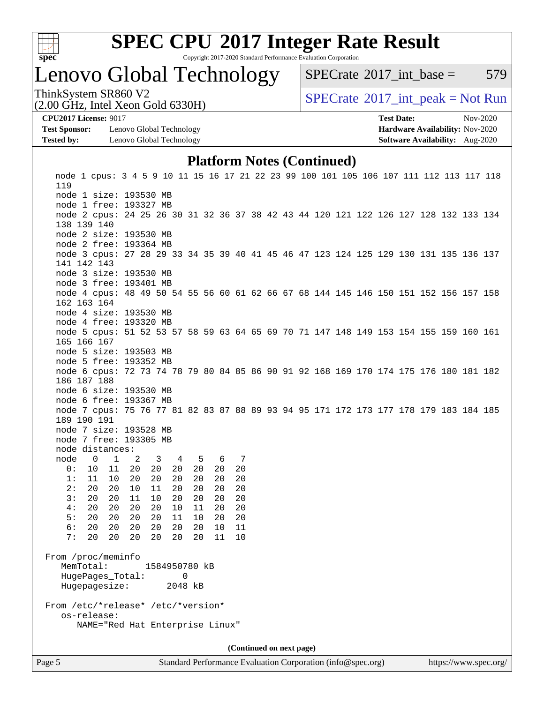

Copyright 2017-2020 Standard Performance Evaluation Corporation

### Lenovo Global Technology

 $SPECTate@2017$  int base = 579

(2.00 GHz, Intel Xeon Gold 6330H)

ThinkSystem SR860 V2<br>  $\begin{array}{c} \text{SPECrate} \textcirc 2017\_int\_peak = Not Run \end{array}$  $\begin{array}{c} \text{SPECrate} \textcirc 2017\_int\_peak = Not Run \end{array}$  $\begin{array}{c} \text{SPECrate} \textcirc 2017\_int\_peak = Not Run \end{array}$ 

**[Test Sponsor:](http://www.spec.org/auto/cpu2017/Docs/result-fields.html#TestSponsor)** Lenovo Global Technology **[Hardware Availability:](http://www.spec.org/auto/cpu2017/Docs/result-fields.html#HardwareAvailability)** Nov-2020 **[Tested by:](http://www.spec.org/auto/cpu2017/Docs/result-fields.html#Testedby)** Lenovo Global Technology **[Software Availability:](http://www.spec.org/auto/cpu2017/Docs/result-fields.html#SoftwareAvailability)** Aug-2020

**[CPU2017 License:](http://www.spec.org/auto/cpu2017/Docs/result-fields.html#CPU2017License)** 9017 **[Test Date:](http://www.spec.org/auto/cpu2017/Docs/result-fields.html#TestDate)** Nov-2020

### **[Platform Notes \(Continued\)](http://www.spec.org/auto/cpu2017/Docs/result-fields.html#PlatformNotes)**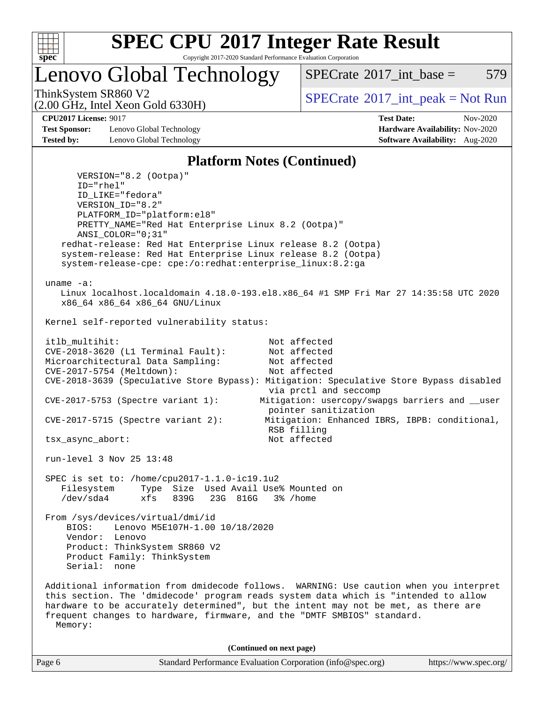

Copyright 2017-2020 Standard Performance Evaluation Corporation

Lenovo Global Technology

 $SPECTate@2017$  int base = 579

(2.00 GHz, Intel Xeon Gold 6330H)

ThinkSystem SR860 V2<br>  $\begin{array}{c} \text{SPECTB} \\ \text{SPECTB} \\ \text{SPECTB} \end{array}$  [SPECrate](http://www.spec.org/auto/cpu2017/Docs/result-fields.html#SPECrate2017intpeak)®[2017\\_int\\_peak = N](http://www.spec.org/auto/cpu2017/Docs/result-fields.html#SPECrate2017intpeak)ot Run

**[Test Sponsor:](http://www.spec.org/auto/cpu2017/Docs/result-fields.html#TestSponsor)** Lenovo Global Technology **[Hardware Availability:](http://www.spec.org/auto/cpu2017/Docs/result-fields.html#HardwareAvailability)** Nov-2020 **[Tested by:](http://www.spec.org/auto/cpu2017/Docs/result-fields.html#Testedby)** Lenovo Global Technology **[Software Availability:](http://www.spec.org/auto/cpu2017/Docs/result-fields.html#SoftwareAvailability)** Aug-2020

**[CPU2017 License:](http://www.spec.org/auto/cpu2017/Docs/result-fields.html#CPU2017License)** 9017 **[Test Date:](http://www.spec.org/auto/cpu2017/Docs/result-fields.html#TestDate)** Nov-2020

### **[Platform Notes \(Continued\)](http://www.spec.org/auto/cpu2017/Docs/result-fields.html#PlatformNotes)**

Page 6 Standard Performance Evaluation Corporation [\(info@spec.org\)](mailto:info@spec.org) <https://www.spec.org/> VERSION="8.2 (Ootpa)" ID="rhel" ID\_LIKE="fedora" VERSION\_ID="8.2" PLATFORM\_ID="platform:el8" PRETTY\_NAME="Red Hat Enterprise Linux 8.2 (Ootpa)" ANSI\_COLOR="0;31" redhat-release: Red Hat Enterprise Linux release 8.2 (Ootpa) system-release: Red Hat Enterprise Linux release 8.2 (Ootpa) system-release-cpe: cpe:/o:redhat:enterprise\_linux:8.2:ga uname -a: Linux localhost.localdomain 4.18.0-193.el8.x86\_64 #1 SMP Fri Mar 27 14:35:58 UTC 2020 x86\_64 x86\_64 x86\_64 GNU/Linux Kernel self-reported vulnerability status: itlb multihit: Not affected CVE-2018-3620 (L1 Terminal Fault): Not affected Microarchitectural Data Sampling: Not affected CVE-2017-5754 (Meltdown): Not affected CVE-2018-3639 (Speculative Store Bypass): Mitigation: Speculative Store Bypass disabled via prctl and seccomp CVE-2017-5753 (Spectre variant 1): Mitigation: usercopy/swapgs barriers and \_\_user pointer sanitization CVE-2017-5715 (Spectre variant 2): Mitigation: Enhanced IBRS, IBPB: conditional, RSB filling tsx\_async\_abort: Not affected run-level 3 Nov 25 13:48 SPEC is set to: /home/cpu2017-1.1.0-ic19.1u2 Filesystem Type Size Used Avail Use% Mounted on /dev/sda4 xfs 839G 23G 816G 3% /home From /sys/devices/virtual/dmi/id BIOS: Lenovo M5E107H-1.00 10/18/2020 Vendor: Lenovo Product: ThinkSystem SR860 V2 Product Family: ThinkSystem Serial: none Additional information from dmidecode follows. WARNING: Use caution when you interpret this section. The 'dmidecode' program reads system data which is "intended to allow hardware to be accurately determined", but the intent may not be met, as there are frequent changes to hardware, firmware, and the "DMTF SMBIOS" standard. Memory: **(Continued on next page)**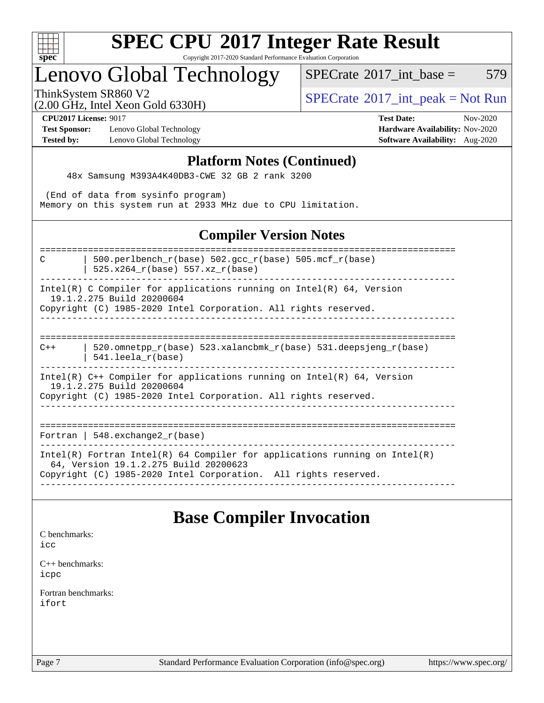

Copyright 2017-2020 Standard Performance Evaluation Corporation

### Lenovo Global Technology

 $SPECTate$ <sup>®</sup>[2017\\_int\\_base =](http://www.spec.org/auto/cpu2017/Docs/result-fields.html#SPECrate2017intbase) 579

(2.00 GHz, Intel Xeon Gold 6330H)

ThinkSystem SR860 V2<br>  $\begin{array}{c} \text{SPECTR} \setminus \text{SVD} \\ \text{SPECTR} \setminus \text{SVD} \end{array}$  [SPECrate](http://www.spec.org/auto/cpu2017/Docs/result-fields.html#SPECrate2017intpeak)®[2017\\_int\\_peak = N](http://www.spec.org/auto/cpu2017/Docs/result-fields.html#SPECrate2017intpeak)ot Run

**[Test Sponsor:](http://www.spec.org/auto/cpu2017/Docs/result-fields.html#TestSponsor)** Lenovo Global Technology **[Hardware Availability:](http://www.spec.org/auto/cpu2017/Docs/result-fields.html#HardwareAvailability)** Nov-2020 **[Tested by:](http://www.spec.org/auto/cpu2017/Docs/result-fields.html#Testedby)** Lenovo Global Technology **[Software Availability:](http://www.spec.org/auto/cpu2017/Docs/result-fields.html#SoftwareAvailability)** Aug-2020

**[CPU2017 License:](http://www.spec.org/auto/cpu2017/Docs/result-fields.html#CPU2017License)** 9017 **[Test Date:](http://www.spec.org/auto/cpu2017/Docs/result-fields.html#TestDate)** Nov-2020

#### **[Platform Notes \(Continued\)](http://www.spec.org/auto/cpu2017/Docs/result-fields.html#PlatformNotes)**

48x Samsung M393A4K40DB3-CWE 32 GB 2 rank 3200

(End of data from sysinfo program)

Memory on this system run at 2933 MHz due to CPU limitation.

### **[Compiler Version Notes](http://www.spec.org/auto/cpu2017/Docs/result-fields.html#CompilerVersionNotes)**

============================================================================== C  $\vert$  500.perlbench\_r(base) 502.gcc\_r(base) 505.mcf\_r(base)

| 525.x264\_r(base) 557.xz\_r(base)

------------------------------------------------------------------------------ Intel(R) C Compiler for applications running on  $Intel(R) 64$ , Version

19.1.2.275 Build 20200604

Copyright (C) 1985-2020 Intel Corporation. All rights reserved.

------------------------------------------------------------------------------ ============================================================================== C++ | 520.omnetpp\_r(base) 523.xalancbmk\_r(base) 531.deepsjeng\_r(base) | 541.leela\_r(base)

------------------------------------------------------------------------------ Intel(R) C++ Compiler for applications running on Intel(R) 64, Version 19.1.2.275 Build 20200604

Copyright (C) 1985-2020 Intel Corporation. All rights reserved.

------------------------------------------------------------------------------

==============================================================================

Fortran | 548.exchange2\_r(base)

------------------------------------------------------------------------------ Intel(R) Fortran Intel(R) 64 Compiler for applications running on Intel(R)

64, Version 19.1.2.275 Build 20200623

Copyright (C) 1985-2020 Intel Corporation. All rights reserved. ------------------------------------------------------------------------------

### **[Base Compiler Invocation](http://www.spec.org/auto/cpu2017/Docs/result-fields.html#BaseCompilerInvocation)**

[C benchmarks](http://www.spec.org/auto/cpu2017/Docs/result-fields.html#Cbenchmarks):

[icc](http://www.spec.org/cpu2017/results/res2020q4/cpu2017-20201207-24551.flags.html#user_CCbase_intel_icc_66fc1ee009f7361af1fbd72ca7dcefbb700085f36577c54f309893dd4ec40d12360134090235512931783d35fd58c0460139e722d5067c5574d8eaf2b3e37e92)

[C++ benchmarks:](http://www.spec.org/auto/cpu2017/Docs/result-fields.html#CXXbenchmarks) [icpc](http://www.spec.org/cpu2017/results/res2020q4/cpu2017-20201207-24551.flags.html#user_CXXbase_intel_icpc_c510b6838c7f56d33e37e94d029a35b4a7bccf4766a728ee175e80a419847e808290a9b78be685c44ab727ea267ec2f070ec5dc83b407c0218cded6866a35d07)

[Fortran benchmarks](http://www.spec.org/auto/cpu2017/Docs/result-fields.html#Fortranbenchmarks): [ifort](http://www.spec.org/cpu2017/results/res2020q4/cpu2017-20201207-24551.flags.html#user_FCbase_intel_ifort_8111460550e3ca792625aed983ce982f94888b8b503583aa7ba2b8303487b4d8a21a13e7191a45c5fd58ff318f48f9492884d4413fa793fd88dd292cad7027ca)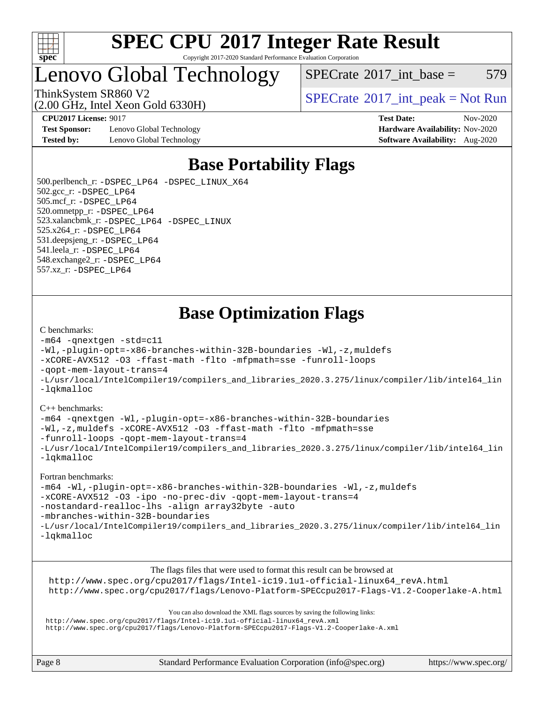

#### **[SPEC CPU](http://www.spec.org/auto/cpu2017/Docs/result-fields.html#SPECCPU2017IntegerRateResult)[2017 Integer Rate Result](http://www.spec.org/auto/cpu2017/Docs/result-fields.html#SPECCPU2017IntegerRateResult)** Copyright 2017-2020 Standard Performance Evaluation Corporation

### Lenovo Global Technology

 $SPECTate@2017$ \_int\_base = 579

(2.00 GHz, Intel Xeon Gold 6330H)

ThinkSystem SR860 V2<br>  $\begin{array}{c} \text{SPECTB} \\ \text{SPECTB} \\ \text{SPECTB} \end{array}$  [SPECrate](http://www.spec.org/auto/cpu2017/Docs/result-fields.html#SPECrate2017intpeak)®[2017\\_int\\_peak = N](http://www.spec.org/auto/cpu2017/Docs/result-fields.html#SPECrate2017intpeak)ot Run

**[CPU2017 License:](http://www.spec.org/auto/cpu2017/Docs/result-fields.html#CPU2017License)** 9017 **[Test Date:](http://www.spec.org/auto/cpu2017/Docs/result-fields.html#TestDate)** Nov-2020

**[Test Sponsor:](http://www.spec.org/auto/cpu2017/Docs/result-fields.html#TestSponsor)** Lenovo Global Technology **[Hardware Availability:](http://www.spec.org/auto/cpu2017/Docs/result-fields.html#HardwareAvailability)** Nov-2020 **[Tested by:](http://www.spec.org/auto/cpu2017/Docs/result-fields.html#Testedby)** Lenovo Global Technology **[Software Availability:](http://www.spec.org/auto/cpu2017/Docs/result-fields.html#SoftwareAvailability)** Aug-2020

### **[Base Portability Flags](http://www.spec.org/auto/cpu2017/Docs/result-fields.html#BasePortabilityFlags)**

 500.perlbench\_r: [-DSPEC\\_LP64](http://www.spec.org/cpu2017/results/res2020q4/cpu2017-20201207-24551.flags.html#b500.perlbench_r_basePORTABILITY_DSPEC_LP64) [-DSPEC\\_LINUX\\_X64](http://www.spec.org/cpu2017/results/res2020q4/cpu2017-20201207-24551.flags.html#b500.perlbench_r_baseCPORTABILITY_DSPEC_LINUX_X64) 502.gcc\_r: [-DSPEC\\_LP64](http://www.spec.org/cpu2017/results/res2020q4/cpu2017-20201207-24551.flags.html#suite_basePORTABILITY502_gcc_r_DSPEC_LP64) 505.mcf\_r: [-DSPEC\\_LP64](http://www.spec.org/cpu2017/results/res2020q4/cpu2017-20201207-24551.flags.html#suite_basePORTABILITY505_mcf_r_DSPEC_LP64) 520.omnetpp\_r: [-DSPEC\\_LP64](http://www.spec.org/cpu2017/results/res2020q4/cpu2017-20201207-24551.flags.html#suite_basePORTABILITY520_omnetpp_r_DSPEC_LP64) 523.xalancbmk\_r: [-DSPEC\\_LP64](http://www.spec.org/cpu2017/results/res2020q4/cpu2017-20201207-24551.flags.html#suite_basePORTABILITY523_xalancbmk_r_DSPEC_LP64) [-DSPEC\\_LINUX](http://www.spec.org/cpu2017/results/res2020q4/cpu2017-20201207-24551.flags.html#b523.xalancbmk_r_baseCXXPORTABILITY_DSPEC_LINUX) 525.x264\_r: [-DSPEC\\_LP64](http://www.spec.org/cpu2017/results/res2020q4/cpu2017-20201207-24551.flags.html#suite_basePORTABILITY525_x264_r_DSPEC_LP64) 531.deepsjeng\_r: [-DSPEC\\_LP64](http://www.spec.org/cpu2017/results/res2020q4/cpu2017-20201207-24551.flags.html#suite_basePORTABILITY531_deepsjeng_r_DSPEC_LP64) 541.leela\_r: [-DSPEC\\_LP64](http://www.spec.org/cpu2017/results/res2020q4/cpu2017-20201207-24551.flags.html#suite_basePORTABILITY541_leela_r_DSPEC_LP64) 548.exchange2\_r: [-DSPEC\\_LP64](http://www.spec.org/cpu2017/results/res2020q4/cpu2017-20201207-24551.flags.html#suite_basePORTABILITY548_exchange2_r_DSPEC_LP64) 557.xz\_r: [-DSPEC\\_LP64](http://www.spec.org/cpu2017/results/res2020q4/cpu2017-20201207-24551.flags.html#suite_basePORTABILITY557_xz_r_DSPEC_LP64)

### **[Base Optimization Flags](http://www.spec.org/auto/cpu2017/Docs/result-fields.html#BaseOptimizationFlags)**

#### [C benchmarks](http://www.spec.org/auto/cpu2017/Docs/result-fields.html#Cbenchmarks):

```
-m64 -qnextgen -std=c11
-Wl,-plugin-opt=-x86-branches-within-32B-boundaries -Wl,-z,muldefs
-xCORE-AVX512 -O3 -ffast-math -flto -mfpmath=sse -funroll-loops
-qopt-mem-layout-trans=4
-L/usr/local/IntelCompiler19/compilers_and_libraries_2020.3.275/linux/compiler/lib/intel64_lin
-lqkmalloc
```
#### [C++ benchmarks](http://www.spec.org/auto/cpu2017/Docs/result-fields.html#CXXbenchmarks):

[-m64](http://www.spec.org/cpu2017/results/res2020q4/cpu2017-20201207-24551.flags.html#user_CXXbase_m64-icc) [-qnextgen](http://www.spec.org/cpu2017/results/res2020q4/cpu2017-20201207-24551.flags.html#user_CXXbase_f-qnextgen) [-Wl,-plugin-opt=-x86-branches-within-32B-boundaries](http://www.spec.org/cpu2017/results/res2020q4/cpu2017-20201207-24551.flags.html#user_CXXbase_f-x86-branches-within-32B-boundaries_0098b4e4317ae60947b7b728078a624952a08ac37a3c797dfb4ffeb399e0c61a9dd0f2f44ce917e9361fb9076ccb15e7824594512dd315205382d84209e912f3) [-Wl,-z,muldefs](http://www.spec.org/cpu2017/results/res2020q4/cpu2017-20201207-24551.flags.html#user_CXXbase_link_force_multiple1_b4cbdb97b34bdee9ceefcfe54f4c8ea74255f0b02a4b23e853cdb0e18eb4525ac79b5a88067c842dd0ee6996c24547a27a4b99331201badda8798ef8a743f577) [-xCORE-AVX512](http://www.spec.org/cpu2017/results/res2020q4/cpu2017-20201207-24551.flags.html#user_CXXbase_f-xCORE-AVX512) [-O3](http://www.spec.org/cpu2017/results/res2020q4/cpu2017-20201207-24551.flags.html#user_CXXbase_f-O3) [-ffast-math](http://www.spec.org/cpu2017/results/res2020q4/cpu2017-20201207-24551.flags.html#user_CXXbase_f-ffast-math) [-flto](http://www.spec.org/cpu2017/results/res2020q4/cpu2017-20201207-24551.flags.html#user_CXXbase_f-flto) [-mfpmath=sse](http://www.spec.org/cpu2017/results/res2020q4/cpu2017-20201207-24551.flags.html#user_CXXbase_f-mfpmath_70eb8fac26bde974f8ab713bc9086c5621c0b8d2f6c86f38af0bd7062540daf19db5f3a066d8c6684be05d84c9b6322eb3b5be6619d967835195b93d6c02afa1) [-funroll-loops](http://www.spec.org/cpu2017/results/res2020q4/cpu2017-20201207-24551.flags.html#user_CXXbase_f-funroll-loops) [-qopt-mem-layout-trans=4](http://www.spec.org/cpu2017/results/res2020q4/cpu2017-20201207-24551.flags.html#user_CXXbase_f-qopt-mem-layout-trans_fa39e755916c150a61361b7846f310bcdf6f04e385ef281cadf3647acec3f0ae266d1a1d22d972a7087a248fd4e6ca390a3634700869573d231a252c784941a8) [-L/usr/local/IntelCompiler19/compilers\\_and\\_libraries\\_2020.3.275/linux/compiler/lib/intel64\\_lin](http://www.spec.org/cpu2017/results/res2020q4/cpu2017-20201207-24551.flags.html#user_CXXbase_linkpath_6eb3b1b8be403820338b5b82e7a1c217a861a8962ac718a6253be1483b50620487664a39a847caf560d84a6b8bab7cca33d9f414525a12ede1e9473db34a3d08) [-lqkmalloc](http://www.spec.org/cpu2017/results/res2020q4/cpu2017-20201207-24551.flags.html#user_CXXbase_qkmalloc_link_lib_79a818439969f771c6bc311cfd333c00fc099dad35c030f5aab9dda831713d2015205805422f83de8875488a2991c0a156aaa600e1f9138f8fc37004abc96dc5)

#### [Fortran benchmarks:](http://www.spec.org/auto/cpu2017/Docs/result-fields.html#Fortranbenchmarks)

```
-m64 -Wl,-plugin-opt=-x86-branches-within-32B-boundaries -Wl,-z,muldefs
-xCORE-AVX512 -O3 -ipo -no-prec-div -qopt-mem-layout-trans=4
-nostandard-realloc-lhs -align array32byte -auto
-mbranches-within-32B-boundaries
-L/usr/local/IntelCompiler19/compilers_and_libraries_2020.3.275/linux/compiler/lib/intel64_lin
-lqkmalloc
```
[The flags files that were used to format this result can be browsed at](tmsearch)

[http://www.spec.org/cpu2017/flags/Intel-ic19.1u1-official-linux64\\_revA.html](http://www.spec.org/cpu2017/flags/Intel-ic19.1u1-official-linux64_revA.html) <http://www.spec.org/cpu2017/flags/Lenovo-Platform-SPECcpu2017-Flags-V1.2-Cooperlake-A.html>

[You can also download the XML flags sources by saving the following links:](tmsearch)

[http://www.spec.org/cpu2017/flags/Intel-ic19.1u1-official-linux64\\_revA.xml](http://www.spec.org/cpu2017/flags/Intel-ic19.1u1-official-linux64_revA.xml) <http://www.spec.org/cpu2017/flags/Lenovo-Platform-SPECcpu2017-Flags-V1.2-Cooperlake-A.xml>